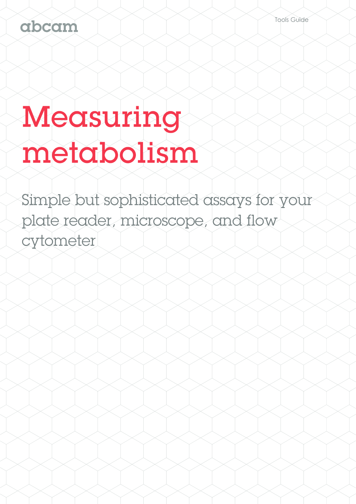# abcam

# Measuring metabolism

Simple but sophisticated assays for your plate reader, microscope, and flow cytometer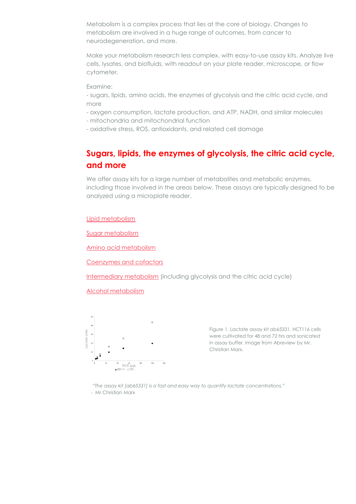Metabolism is a complex process that lies at the core of biology. Changes to metabolism are involved in a huge range of outcomes, from cancer to neurodegeneration, and more.

Make your metabolism research less complex, with easy-to-use assay kits. Analyze live cells, lysates, and biofluids, with readout on your plate reader, microscope, or flow cytometer.

Examine:

- sugars, lipids, amino acids, the enzymes of glycolysis and the citric acid cycle, and more

- oxygen consumption, lactate production, and ATP, NADH, and similar molecules

- mitochondria and mitochondrial function

- oxidative stress, ROS, antioxidants, and related cell damage

# **Sugars, lipids, the enzymes of glycolysis, the citric acid cycle, and more**

We offer assay kits for a large number of metabolites and metabolic enzymes, including those involved in the areas below. These assays are typically designed to be analyzed using a microplate reader.

#### [Lipid metabolism](http://www.abcam.com/products?selected.classification=Cellular+and+biochemical+assays&selected.researchAreas=Kits%2F+Lysates%2F+Other--Kits--Cell+Metabolism+Kits--Lipid+Metabolism+Kits)

[Sugar metabolism](http://www.abcam.com/products?selected.researchAreas=Kits%2f+Lysates%2f+Other--Kits--Cell+Metabolism+Kits--Sugar+Assays)

[Amino acid metabolism](http://www.abcam.com/products?selected.researchAreas=Kits%2f+Lysates%2f+Other--Kits--Cell+Metabolism+Kits--Amino+Acid+Assays)

[Coenzymes and cofactors](http://www.abcam.com/products?keywords=assay&selected.classification=Cellular+and+biochemical+assays--Metabolism--Coenzymes+and+Cofactors)

[Intermediary metabolism](http://www.abcam.com/products?keywords=assay&selected.classification=Cellular+and+biochemical+assays--Metabolism--Intermediary+metabolism) (including glycolysis and the citric acid cycle)

[Alcohol metabolism](http://www.abcam.com/products?selected.researchAreas=Kits%2f+Lysates%2f+Other--Kits--Cell+Metabolism+Kits--Alcohol+Assays)



Figure 1. Lactate assay kit ab65331. HCT116 cells were cultivated for 48 and 72 hrs and sonicated in assay buffer. Image from Abreview by Mr. Christian Marx.

*"The assay kit [ab65331] is a fast and easy way to quantify lactate concentrations."* - Mr Christian Marx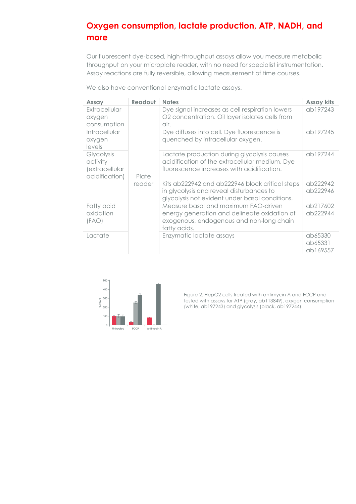# **Oxygen consumption, lactate production, ATP, NADH, and more**

Our fluorescent dye-based, high-throughput assays allow you measure metabolic throughput on your microplate reader, with no need for specialist instrumentation. Assay reactions are fully reversible, allowing measurement of time courses.

We also have conventional enzymatic lactate assays.

| Assay                                                             | Readout | <b>Notes</b>                                                                                                                                     | <b>Assay kits</b>              |
|-------------------------------------------------------------------|---------|--------------------------------------------------------------------------------------------------------------------------------------------------|--------------------------------|
| Extracellular<br>oxygen<br>consumption                            |         | Dye signal increases as cell respiration lowers<br>O2 concentration. Oil layer isolates cells from<br>air.                                       | ab197243                       |
| Intracellular<br>oxygen<br>levels                                 |         | Dye diffuses into cell. Dye fluorescence is<br>quenched by intracellular oxygen.                                                                 | ab197245                       |
| Glycolysis<br>activity<br><i>(extracellular</i><br>acidification) | Plate   | Lactate production during glycolysis causes<br>acidification of the extracellular medium. Dye<br>fluorescence increases with acidification.      | ab197244                       |
|                                                                   | reader  | Kits ab222942 and ab222946 block critical steps<br>in glycolysis and reveal disturbances to<br>glycolysis not evident under basal conditions.    | ab222942<br>ab222946           |
| Fatty acid<br>oxidation<br>(FAO)                                  |         | Measure basal and maximum FAO-driven<br>energy generation and delineate oxidation of<br>exogenous, endogenous and non-long chain<br>fatty acids. | ab217602<br>ab222944           |
| Lactate                                                           |         | Enzymatic lactate assays                                                                                                                         | ab65330<br>ab65331<br>ab169557 |



Figure 2. HepG2 cells treated with antimycin A and FCCP and tested with assays for ATP (gray, ab113849), oxygen consumption (white, ab197243) and glycolysis (black, ab197244).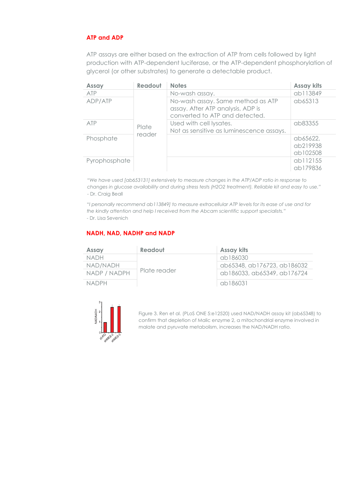#### **ATP and ADP**

ATP assays are either based on the extraction of ATP from cells followed by light production with ATP-dependent luciferase, or the ATP-dependent phosphorylation of glycerol (or other substrates) to generate a detectable product.

| <b>Assay</b>  | Readout | <b>Notes</b>                                                                                             | <b>Assay kits</b>                |
|---------------|---------|----------------------------------------------------------------------------------------------------------|----------------------------------|
| ATP           |         | No-wash assay.                                                                                           | ab113849                         |
| ADP/ATP       |         | No-wash assay. Same method as ATP<br>assay. After ATP analysis, ADP is<br>converted to ATP and detected. | ab65313                          |
| <b>ATP</b>    | Plate   | Used with cell lysates.                                                                                  | ab83355                          |
|               | reader  | Not as sensitive as luminescence assays.                                                                 |                                  |
| Phosphate     |         |                                                                                                          | ab65622,<br>ab219938<br>ab102508 |
| Pyrophosphate |         |                                                                                                          | ab112155                         |
|               |         |                                                                                                          | ab179836                         |

*"We have used [ab653131] extensively to measure changes in the ATP/ADP ratio in response to changes in glucose availability and during stress tests (H2O2 treatment). Reliable kit and easy to use."* - Dr. Craig Beall

*"I personally recommend ab113849] to measure extracellular ATP levels for its ease of use and for the kindly attention and help I received from the Abcam scientific support specialists."*  - Dr. Lisa Sevenich

#### **NADH, NAD, NADHP and NADP**

| Assay        | Readout      | <b>Assay kits</b>           |  |  |
|--------------|--------------|-----------------------------|--|--|
| <b>NADH</b>  |              | ab186030                    |  |  |
| NAD/NADH     |              | ab65348, ab176723, ab186032 |  |  |
| NADP / NADPH | Plate reader | ab186033, ab65349, ab176724 |  |  |
| NADPH.       |              | ab186031                    |  |  |



Figure 3. Ren et al. (PLoS ONE 5:e12520) used NAD/NADH assay kit (ab65348) to confirm that depletion of Malic enzyme 2, a mitochondrial enzyme involved in malate and pyruvate metabolism, increases the NAD/NADH ratio.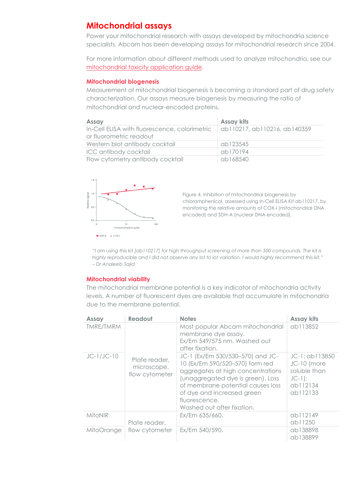## **Mitochondrial assays**

Power your mitochondrial research with assays developed by mitochondria science specialists. Abcam has been developing assays for mitochondrial research since 2004.

For more information about different methods used to analyze mitochondria, see our [mitochondrial toxicity application guide.](http://www.abcam.com/kits/mitochondrial-toxicity)

#### **Mitochondrial biogenesis**

Measurement of mitochondrial biogenesis is becoming a standard part of drug safety characterization. Our assays measure biogenesis by measuring the ratio of mitochondrial and nuclear-encoded proteins.

| Assay                                                                    | <b>Assay kits</b>            |
|--------------------------------------------------------------------------|------------------------------|
| In-Cell ELISA with fluorescence, colorimetric<br>or fluorometric readout | ab110217, ab110216, ab140359 |
| Western blot antibody cocktail                                           | ab123545                     |
| ICC antibody cocktail                                                    | ab170194                     |
| Flow cytometry antibody cocktail                                         | ab168540                     |



Figure 4. Inhibition of mitochondrial biogenesis by chloramphenicol, assessed using In-Cell ELISA Kit ab110217, by monitoring the relative amounts of COX-I (mitochondrial DNA encoded) and SDH-A (nuclear DNA encoded).

*"I am using this kit [ab110217] for high throughput screening of more than 500 compounds. The kit is highly reproducible and I did not observe any lot to lot variation. I would highly recommend this kit." – Dr Analeeb Sajid*

#### **Mitochondrial viability**

The mitochondrial membrane potential is a key indicator of mitochondria activity levels. A number of fluorescent dyes are available that accumulate in mitochondria due to the membrane potential.

| <b>Assay</b>     | Readout                                        | <b>Notes</b>                                                                                                                                                                                                                                                    | <b>Assay kits</b>                                                                 |
|------------------|------------------------------------------------|-----------------------------------------------------------------------------------------------------------------------------------------------------------------------------------------------------------------------------------------------------------------|-----------------------------------------------------------------------------------|
| <b>TMRE/TMRM</b> |                                                | Most popular Abcam mitochondrial<br>membrane dye assay.<br>Ex/Em 549/575 nm. Washed out<br>after fixation.                                                                                                                                                      | ab113852                                                                          |
| $JC-1/JC-10$     | Plate reader,<br>microscope,<br>flow cytometer | JC-1 (Ex/Em 530/530-570) and JC-<br>10 (Ex/Em 590/520-570) form red<br>aggregates at high concentrations<br>(unaggregated dye is green). Loss<br>of membrane potential causes loss<br>of dye and increased green<br>fluorescence.<br>Washed out after fixation. | JC-1: ab113850<br>JC-10 (more<br>soluble than<br>$JC-1$ :<br>ab112134<br>ab112133 |
| <b>MitoNIR</b>   | Plate reader,                                  | Ex/Em 635/660.                                                                                                                                                                                                                                                  | ab112149<br>ab11250                                                               |
| MitoOrange       | flow cytometer                                 | Ex/Em 540/590.                                                                                                                                                                                                                                                  | ab138898<br>ab138899                                                              |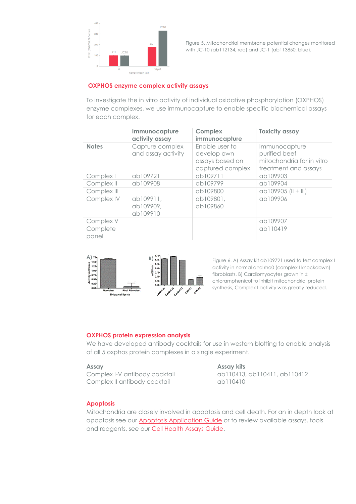

Figure 5. Mitochondrial membrane potential changes monitored with JC-10 (ab112134, red) and JC-1 (ab113850, blue).

#### **OXPHOS enzyme complex activity assays**

To investigate the in vitro activity of individual oxidative phosphorylation (OXPHOS) enzyme complexes, we use immunocapture to enable specific biochemical assays for each complex.

|                   | Immunocapture<br>activity assay       | Complex<br>immunocapture                                             | <b>Toxicity assay</b>                                                               |
|-------------------|---------------------------------------|----------------------------------------------------------------------|-------------------------------------------------------------------------------------|
| <b>Notes</b>      | Capture complex<br>and assay activity | Enable user to<br>develop own<br>assays based on<br>captured complex | Immunocapture<br>purified beef<br>mitochondria for in vitro<br>treatment and assays |
| Complex I         | ab109721                              | ab109711                                                             | ab109903                                                                            |
| Complex II        | ab109908                              | ab109799                                                             | ab109904                                                                            |
| Complex III       |                                       | ab109800                                                             | ab109905 (II + III)                                                                 |
| Complex IV        | ab109911,<br>ab109909,<br>ab109910    | ab109801,<br>ab109860                                                | ab109906                                                                            |
| Complex V         |                                       |                                                                      | ab109907                                                                            |
| Complete<br>panel |                                       |                                                                      | ab110419                                                                            |



Figure 6. A) Assay kit ab109721 used to test complex I activity in normal and rho0 (complex I knockdown) fibroblasts. B) Cardiomyocytes grown in ± chloramphenicol to inhibit mitochondrial protein synthesis, Complex I activity was greatly reduced.

#### **OXPHOS protein expression analysis**

We have developed antibody cocktails for use in western blotting to enable analysis of all 5 oxphos protein complexes in a single experiment.

| <b>Assay</b>                  | <b>Assay kits</b>            |
|-------------------------------|------------------------------|
| Complex I-V antibody cocktail | ab110413, ab110411, ab110412 |
| Complex II antibody cocktail  | ab110410                     |

#### **Apoptosis**

Mitochondria are closely involved in apoptosis and cell death. For an in depth look at apoptosis see our **Apoptosis Application Guide** or to review available assays, tools and reagents, see our **Cell Health Assays Guide.**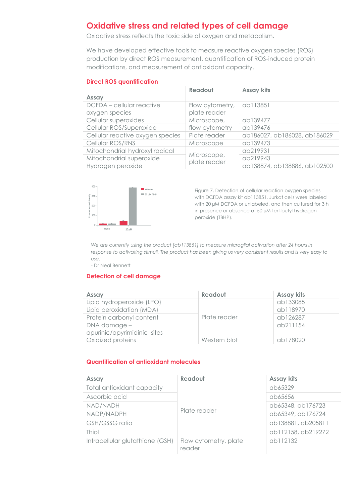## **Oxidative stress and related types of cell damage**

Oxidative stress reflects the toxic side of oxygen and metabolism.

We have developed effective tools to measure reactive oxygen species (ROS) production by direct ROS measurement, quantification of ROS-induced protein modifications, and measurement of antioxidant capacity.

#### **Direct ROS quantification**

|                                  | Readout                     | <b>Assay kits</b>            |
|----------------------------------|-----------------------------|------------------------------|
| <b>Assay</b>                     |                             |                              |
| DCFDA – cellular reactive        | Flow cytometry,             | ab113851                     |
| oxygen species                   | plate reader                |                              |
| Cellular superoxides             | Microscope,                 | ab139477                     |
| Cellular ROS/Superoxide          | flow cytometry              | ab139476                     |
| Cellular reactive oxygen species | Plate reader                | ab186027, ab186028, ab186029 |
| Cellular ROS/RNS                 | Microscope                  | ab139473                     |
| Mitochondrial hydroxyl radical   | Microscope,<br>plate reader | ab219931                     |
| Mitochondrial superoxide         |                             | ab219943                     |
| Hydrogen peroxide                |                             | ab138874, ab138886, ab102500 |



Figure 7. Detection of cellular reaction oxygen species with DCFDA assay kit ab113851. Jurkat cells were labeled with 20 µM DCFDA or unlabeled, and then cultured for 3 h in presence or absence of 50 µM tert-butyl hydrogen peroxide (TBHP).

*We are currently using the product [ab113851] to measure microglial activation after 24 hours in response to activating stimuli. The product has been giving us very consistent results and is very easy to use."* 

- Dr Neal Bennett

#### **Detection of cell damage**

| Assay                                       | Readout      | <b>Assay kits</b> |
|---------------------------------------------|--------------|-------------------|
| Lipid hydroperoxide (LPO)                   |              | ab133085          |
| Lipid peroxidation (MDA)                    |              | ab118970          |
| Protein carbonyl content                    | Plate reader | ab126287          |
| DNA damage -<br>apurinic/apyrimidinic sites |              | ab211154          |
| Oxidized proteins                           | Western blot | ab178020          |

#### **Quantification of antioxidant molecules**

| <b>Assay</b>                    | Readout                         | <b>Assay kits</b>  |
|---------------------------------|---------------------------------|--------------------|
| Total antioxidant capacity      |                                 | ab65329            |
| Ascorbic acid                   |                                 | ab65656            |
| NAD/NADH                        |                                 | ab65348, ab176723  |
| NADP/NADPH                      | Plate reader                    | ab65349, ab176724  |
| GSH/GSSG ratio                  |                                 | ab138881, ab205811 |
| Thiol                           |                                 | ab112158, ab219272 |
| Intracellular glutathione (GSH) | Flow cytometry, plate<br>reader | ab112132           |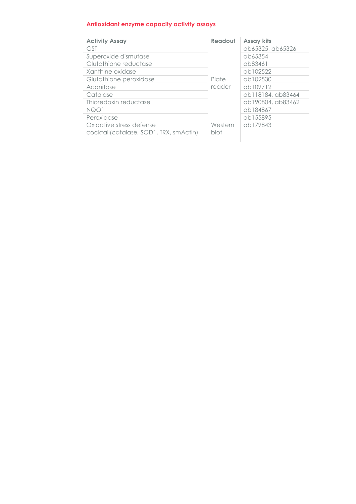#### **Antioxidant enzyme capacity activity assays**

| <b>Activity Assay</b>                                              | Readout         | <b>Assay kits</b> |
|--------------------------------------------------------------------|-----------------|-------------------|
| <b>GST</b>                                                         |                 | ab65325, ab65326  |
| Superoxide dismutase                                               |                 | ab65354           |
| Glutathione reductase                                              |                 | ab83461           |
| Xanthine oxidase                                                   |                 | ab102522          |
| Glutathione peroxidase                                             | Plate           | ab102530          |
| Aconitase                                                          | reader          | ab109712          |
| Catalase                                                           |                 | ab118184, ab83464 |
| Thioredoxin reductase                                              |                 | ab190804, ab83462 |
| NQO1                                                               |                 | ab184867          |
| Peroxidase                                                         |                 | ab155895          |
| Oxidative stress defense<br>cocktail(catalase, SOD1, TRX, smActin) | Western<br>blot | ab179843          |